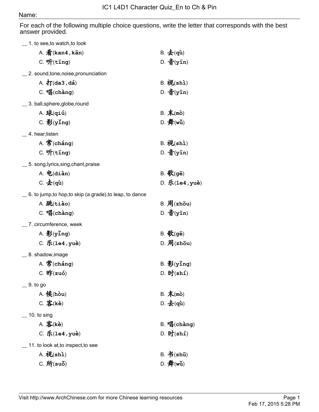## Name:

For each of the following multiple choice questions, write the letter that corresponds with the best answer provided.

| 1. to see, to watch, to look                          |                             |
|-------------------------------------------------------|-----------------------------|
| A. $\frac{2}{3}$ (kan4, kān)                          | $B. \pm (q\hat{u})$         |
| $C.$ $\mathfrak{H}(\mathtt{ting})$                    | $D.$ 音(yīn)                 |
| 2. sound, tone, noise, pronunciation                  |                             |
| $A. \nightharpoondown$ $T(da3, dá)$                   | $B.$ 视 $(sh)$               |
| $C.$ 唱(chàng)                                         | $D.$ 音(yīn)                 |
| _3. ball,sphere,globe,round                           |                             |
| $A.$ 球 $(qii)$                                        | B. 末(mò)                    |
| $C.$ $\frac{26}{3}$ (ying)                            | D. $#(w\check{u})$          |
| 4. hear;listen                                        |                             |
| $A.$ 常(cháng)                                         | $B. \mathcal{W}(\text{sh})$ |
| $C.$ $\mathfrak{H}$ (ting)                            | $D.$ 音(yīn)                 |
| 5. song, lyrics, sing, chant, praise                  |                             |
| $A.$ 电 $(diam)$                                       | $B. \mathcal{K}$ (gē)       |
| $C.$ $\pm$ (qù)                                       | $D.$ 乐(1e4, yuè)            |
| 6. to jump,to hop,to skip (a grade),to leap, to dance |                             |
| A. 跳(tiào)                                            | $B.$ 周(zhōu)                |
| $C.$ 唱(chàng)                                         | $D.$ 音(yīn)                 |
| 7. circumference, week                                |                             |
| A. $\frac{26}{3}$ (ying)                              | $B.$ 歌(gē)                  |
| $C.$ 乐 $(1e4, yuè)$                                   | $D.$ 周(zhōu)                |
| _8. shadow, image                                     |                             |
| $A.$ 常(cháng)                                         | $B.$ $\frac{25}{2}$ (ying)  |
| $C.$ If $(zu_0)$                                      | $D.$ 时(shí)                 |
| 9. to go                                              |                             |
| A. $R(\hat{k})$ (hòu)                                 | B. 末(mò)                    |
| $C.$ 客 $(ke)$                                         | D. $\pm$ (qù)               |
| 10. to sing                                           |                             |
| $A.$ 客 $(ke)$                                         | $B.$ 唱(chàng)               |
| $C.$ 乐(1e4, yuè)                                      | $D.$ 时 $(sh1)$              |
| 11. to look at, to inspect, to see                    |                             |
| $A. \n{\mathcal{W}}(\text{shi})$                      | $B. \nightharpoonup$ (shū)  |
| $C. \n{f}$ f(suǒ)                                     | D. $#(wu)$                  |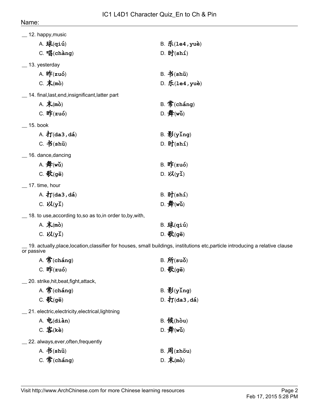| 12. happy, music                                 |                            |
|--------------------------------------------------|----------------------------|
| $A.$ 球 $(qii)$                                   | $B.$ 乐 $(1e4, yu\dot{e})$  |
| $C.$ 唱(chàng)                                    | $D.$ 时 $(\text{sh1})$      |
| 13. yesterday                                    |                            |
| A. $\mathbf{H}$ [zuó)                            | B. 书(shū)                  |
| $C. \nless$ (mò)                                 | D. 乐 $(1e4, yu\dot{e})$    |
| 14. final, last, end, insignificant, latter part |                            |
| A. $\bar{\mathcal{F}}$ (mò)                      | $B.$ 常(cháng)              |
| C. $\mathbf{f}$ [zuó)                            | D. $#(w\check{u})$         |
| 15. book                                         |                            |
| A. $\frac{1}{4}$ (da3, dá)                       | $B.$ $\frac{25}{2}$ (ying) |
| $C. \nightharpoonup$ (shū)                       | $D.$ 时 $(sh1)$             |
|                                                  |                            |
| 16. dance, dancing                               |                            |
| A. $#(w\check{u})$                               | $B.$ If $(zu_0)$           |
| $C.$ 歌(gē)                                       | $D. \nabla(y)$             |
| 17. time, hour                                   |                            |
| A. $\frac{1}{4}$ $(da3, dá)$                     | $B.$ 时 $(sh1)$             |

\_\_ 18. to use,according to,so as to,in order to,by,with,

| A. 末(mò)              | $B.$ 球 $(qi\acute{u})$ |
|-----------------------|------------------------|
| C. $\mathcal{V}(y_1)$ | D. 歌(gē)               |

 $\_$  19. actually,place,location,classifier for houses, small buildings, institutions etc,particle introducing a relative clause or passive

| A. 常(cháng)                                      | $B. \hat{H}$ (suǒ)         |
|--------------------------------------------------|----------------------------|
| C. $\mathbf{f}(zu_0)$                            | $D.$ 歌(gē)                 |
| 20. strike, hit, beat, fight, attack,            |                            |
| $A.$ 常(cháng)                                    | $B.$ $\frac{25}{2}$ (ying) |
| $C.$ 歌(gē)                                       | $D.$ 打(da3, dá)            |
| 21. electric, electricity, electrical, lightning |                            |
| $A.$ 电 $(dian)$                                  | $B.$ $Q$ $(h$ òu)          |
| $C.$ 客 $(ke)$                                    | D. $#(w\check{u})$         |
| 22. always, ever, often, frequently              |                            |
| A. 书(shū)                                        | $B.$ 周(zhōu)               |
| $C.$ 常(cháng)                                    | D. 末(mò)                   |
|                                                  |                            |